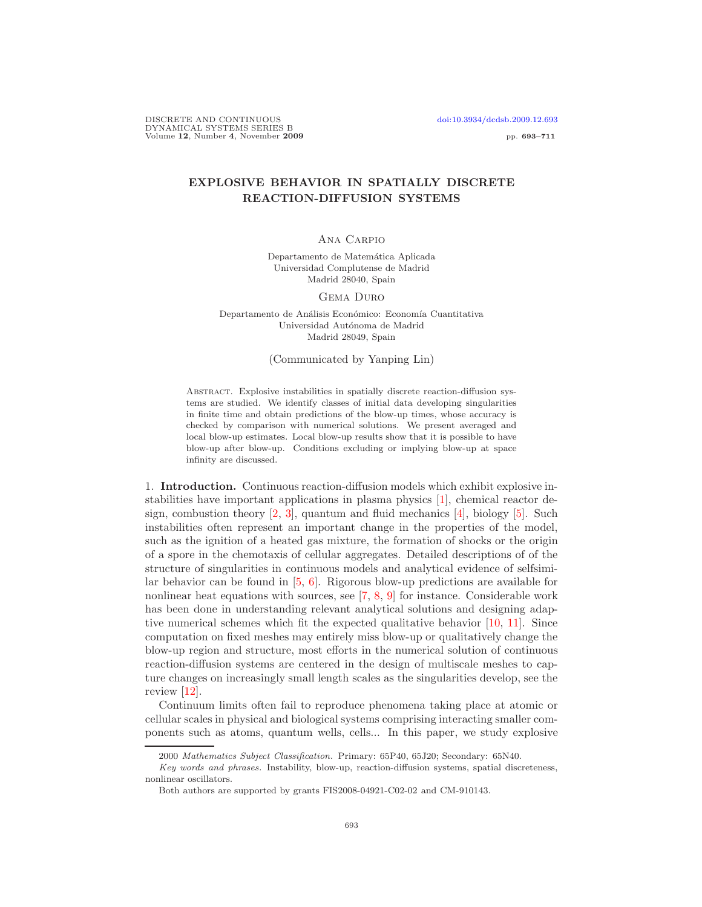# EXPLOSIVE BEHAVIOR IN SPATIALLY DISCRETE REACTION-DIFFUSION SYSTEMS

### Ana Carpio

Departamento de Matemática Aplicada Universidad Complutense de Madrid Madrid 28040, Spain

#### Gema Duro

Departamento de Análisis Económico: Economía Cuantitativa Universidad Autónoma de Madrid Madrid 28049, Spain

## (Communicated by Yanping Lin)

Abstract. Explosive instabilities in spatially discrete reaction-diffusion systems are studied. We identify classes of initial data developing singularities in finite time and obtain predictions of the blow-up times, whose accuracy is checked by comparison with numerical solutions. We present averaged and local blow-up estimates. Local blow-up results show that it is possible to have blow-up after blow-up. Conditions excluding or implying blow-up at space infinity are discussed.

1. Introduction. Continuous reaction-diffusion models which exhibit explosive instabilities have important applications in plasma physics [\[1\]](#page-17-0), chemical reactor design, combustion theory  $[2, 3]$  $[2, 3]$ , quantum and fluid mechanics  $[4]$ , biology  $[5]$ . Such instabilities often represent an important change in the properties of the model, such as the ignition of a heated gas mixture, the formation of shocks or the origin of a spore in the chemotaxis of cellular aggregates. Detailed descriptions of of the structure of singularities in continuous models and analytical evidence of selfsimilar behavior can be found in [\[5,](#page-18-0) [6\]](#page-18-1). Rigorous blow-up predictions are available for nonlinear heat equations with sources, see [\[7,](#page-18-2) [8,](#page-18-3) [9\]](#page-18-4) for instance. Considerable work has been done in understanding relevant analytical solutions and designing adaptive numerical schemes which fit the expected qualitative behavior [\[10,](#page-18-5) [11\]](#page-18-6). Since computation on fixed meshes may entirely miss blow-up or qualitatively change the blow-up region and structure, most efforts in the numerical solution of continuous reaction-diffusion systems are centered in the design of multiscale meshes to capture changes on increasingly small length scales as the singularities develop, see the review [\[12\]](#page-18-7).

Continuum limits often fail to reproduce phenomena taking place at atomic or cellular scales in physical and biological systems comprising interacting smaller components such as atoms, quantum wells, cells... In this paper, we study explosive

<sup>2000</sup> Mathematics Subject Classification. Primary: 65P40, 65J20; Secondary: 65N40.

Key words and phrases. Instability, blow-up, reaction-diffusion systems, spatial discreteness, nonlinear oscillators.

Both authors are supported by grants FIS2008-04921-C02-02 and CM-910143.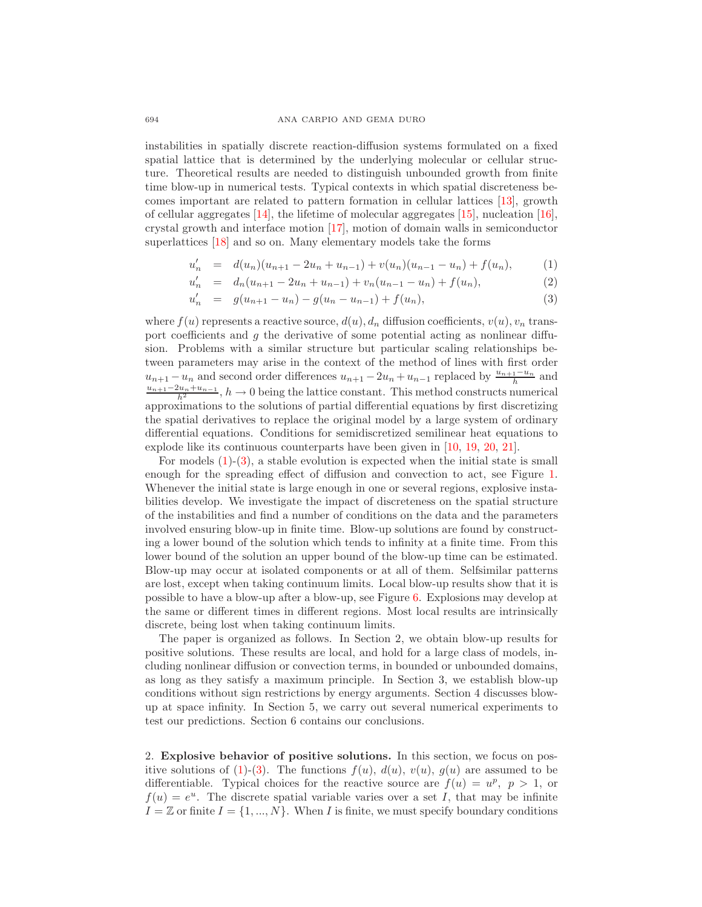instabilities in spatially discrete reaction-diffusion systems formulated on a fixed spatial lattice that is determined by the underlying molecular or cellular structure. Theoretical results are needed to distinguish unbounded growth from finite time blow-up in numerical tests. Typical contexts in which spatial discreteness becomes important are related to pattern formation in cellular lattices [\[13\]](#page-18-8), growth of cellular aggregates  $[14]$ , the lifetime of molecular aggregates  $[15]$ , nucleation  $[16]$ , crystal growth and interface motion [\[17\]](#page-18-12), motion of domain walls in semiconductor superlattices [\[18\]](#page-18-13) and so on. Many elementary models take the forms

$$
u'_n = d(u_n)(u_{n+1} - 2u_n + u_{n-1}) + v(u_n)(u_{n-1} - u_n) + f(u_n),
$$
 (1)

$$
u'_n = d_n(u_{n+1} - 2u_n + u_{n-1}) + v_n(u_{n-1} - u_n) + f(u_n),
$$
\n(2)

$$
u'_n = g(u_{n+1} - u_n) - g(u_n - u_{n-1}) + f(u_n),
$$
\n(3)

<span id="page-1-0"></span>where  $f(u)$  represents a reactive source,  $d(u)$ ,  $d_n$  diffusion coefficients,  $v(u)$ ,  $v_n$  transport coefficients and  $g$  the derivative of some potential acting as nonlinear diffusion. Problems with a similar structure but particular scaling relationships between parameters may arise in the context of the method of lines with first order  $u_{n+1} - u_n$  and second order differences  $u_{n+1} - 2u_n + u_{n-1}$  replaced by  $\frac{u_{n+1}-u_n}{h}$  and  $\frac{u_{n+1}-2u_n+u_{n-1}}{h^2}$ ,  $h \to 0$  being the lattice constant. This method constructs numerical approximations to the solutions of partial differential equations by first discretizing the spatial derivatives to replace the original model by a large system of ordinary differential equations. Conditions for semidiscretized semilinear heat equations to explode like its continuous counterparts have been given in [\[10,](#page-18-5) [19,](#page-18-14) [20,](#page-18-15) [21\]](#page-18-16).

For models  $(1)-(3)$  $(1)-(3)$ , a stable evolution is expected when the initial state is small enough for the spreading effect of diffusion and convection to act, see Figure [1.](#page-2-0) Whenever the initial state is large enough in one or several regions, explosive instabilities develop. We investigate the impact of discreteness on the spatial structure of the instabilities and find a number of conditions on the data and the parameters involved ensuring blow-up in finite time. Blow-up solutions are found by constructing a lower bound of the solution which tends to infinity at a finite time. From this lower bound of the solution an upper bound of the blow-up time can be estimated. Blow-up may occur at isolated components or at all of them. Selfsimilar patterns are lost, except when taking continuum limits. Local blow-up results show that it is possible to have a blow-up after a blow-up, see Figure [6.](#page-17-4) Explosions may develop at the same or different times in different regions. Most local results are intrinsically discrete, being lost when taking continuum limits.

The paper is organized as follows. In Section 2, we obtain blow-up results for positive solutions. These results are local, and hold for a large class of models, including nonlinear diffusion or convection terms, in bounded or unbounded domains, as long as they satisfy a maximum principle. In Section 3, we establish blow-up conditions without sign restrictions by energy arguments. Section 4 discusses blowup at space infinity. In Section 5, we carry out several numerical experiments to test our predictions. Section 6 contains our conclusions.

<span id="page-1-1"></span>2. Explosive behavior of positive solutions. In this section, we focus on pos-itive solutions of [\(1\)](#page-1-0)-[\(3\)](#page-1-0). The functions  $f(u)$ ,  $d(u)$ ,  $v(u)$ ,  $g(u)$  are assumed to be differentiable. Typical choices for the reactive source are  $f(u) = u^p$ ,  $p > 1$ , or  $f(u) = e^u$ . The discrete spatial variable varies over a set I, that may be infinite  $I = \mathbb{Z}$  or finite  $I = \{1, ..., N\}$ . When I is finite, we must specify boundary conditions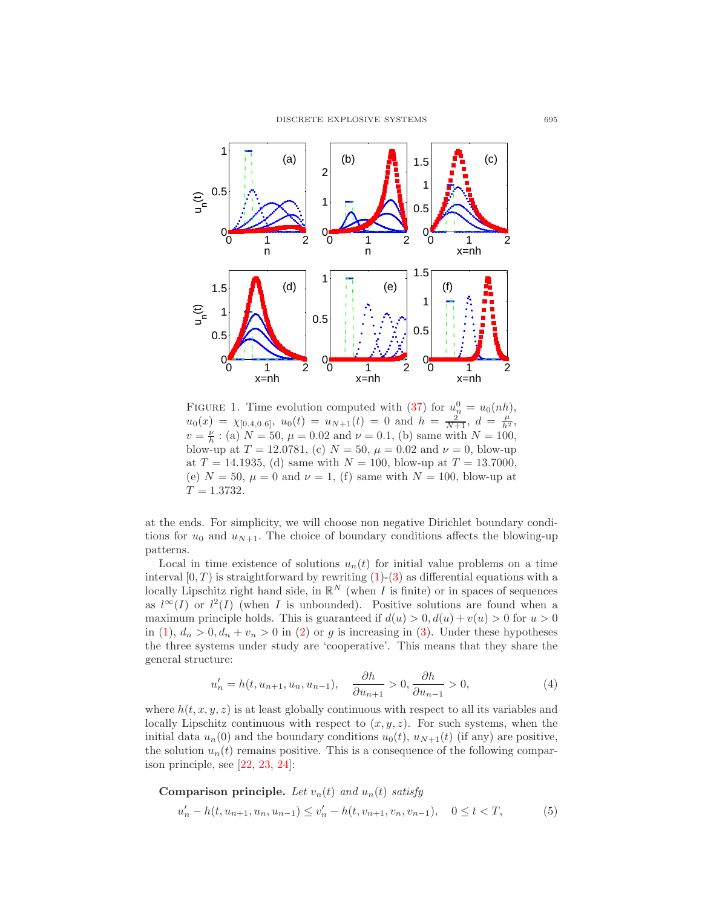

<span id="page-2-0"></span>FIGURE 1. Time evolution computed with [\(37\)](#page-12-0) for  $u_n^0 = u_0(nh)$ ,  $u_0(x) = \chi_{[0.4, 0.6]}, u_0(t) = u_{N+1}(t) = 0$  and  $h = \frac{2}{N+1}, d = \frac{\mu}{h^2}$ ,  $v = \frac{\nu}{h}$ : (a)  $N = 50$ ,  $\mu = 0.02$  and  $\nu = 0.1$ , (b) same with  $N = 100$ , blow-up at  $T = 12.0781$ , (c)  $N = 50$ ,  $\mu = 0.02$  and  $\nu = 0$ , blow-up at  $T = 14.1935$ , (d) same with  $N = 100$ , blow-up at  $T = 13.7000$ , (e)  $N = 50$ ,  $\mu = 0$  and  $\nu = 1$ , (f) same with  $N = 100$ , blow-up at  $T = 1.3732.$ 

at the ends. For simplicity, we will choose non negative Dirichlet boundary conditions for  $u_0$  and  $u_{N+1}$ . The choice of boundary conditions affects the blowing-up patterns.

Local in time existence of solutions  $u_n(t)$  for initial value problems on a time interval  $[0, T)$  is straightforward by rewriting  $(1)-(3)$  $(1)-(3)$  as differential equations with a locally Lipschitz right hand side, in  $\mathbb{R}^N$  (when I is finite) or in spaces of sequences as  $l^{\infty}(I)$  or  $l^2(I)$  (when I is unbounded). Positive solutions are found when a maximum principle holds. This is guaranteed if  $d(u) > 0, d(u) + v(u) > 0$  for  $u > 0$ in [\(1\)](#page-1-0),  $d_n > 0, d_n + v_n > 0$  in [\(2\)](#page-1-0) or g is increasing in [\(3\)](#page-1-0). Under these hypotheses the three systems under study are 'cooperative'. This means that they share the general structure:

$$
u'_{n} = h(t, u_{n+1}, u_{n}, u_{n-1}), \quad \frac{\partial h}{\partial u_{n+1}} > 0, \frac{\partial h}{\partial u_{n-1}} > 0,
$$
\n(4)

<span id="page-2-2"></span>where  $h(t, x, y, z)$  is at least globally continuous with respect to all its variables and locally Lipschitz continuous with respect to  $(x, y, z)$ . For such systems, when the initial data  $u_n(0)$  and the boundary conditions  $u_0(t)$ ,  $u_{N+1}(t)$  (if any) are positive, the solution  $u_n(t)$  remains positive. This is a consequence of the following comparison principle, see [\[22,](#page-18-17) [23,](#page-18-18) [24\]](#page-18-19):

<span id="page-2-1"></span>Comparison principle. Let 
$$
v_n(t)
$$
 and  $u_n(t)$  satisfy  
\n
$$
u'_n - h(t, u_{n+1}, u_n, u_{n-1}) \le v'_n - h(t, v_{n+1}, v_n, v_{n-1}), \quad 0 \le t < T,
$$
\n(5)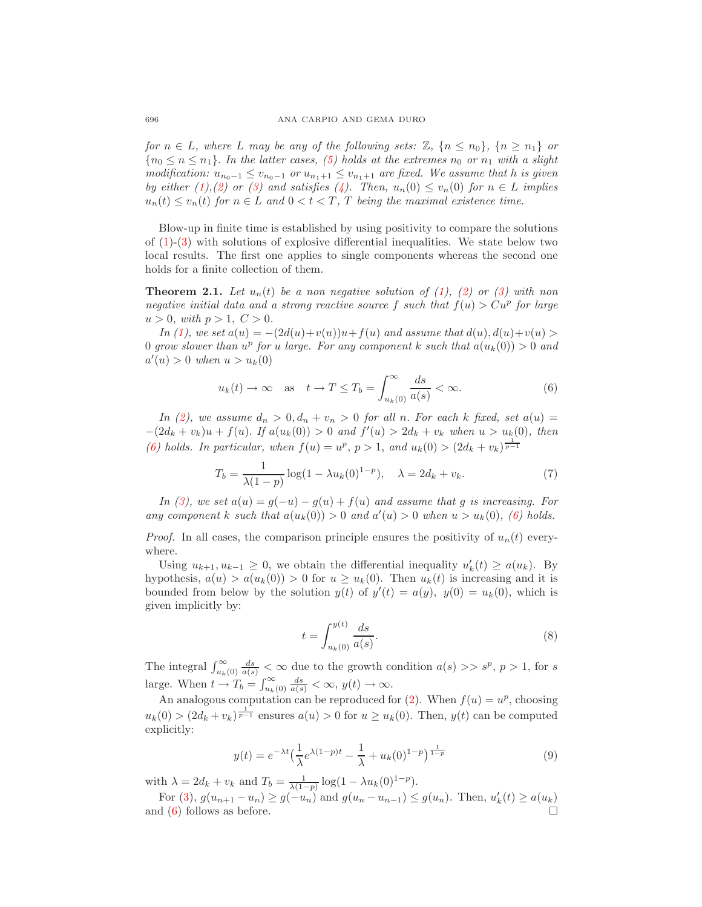for  $n \in L$ , where L may be any of the following sets:  $\mathbb{Z}, \{n \leq n_0\}, \{n \geq n_1\}$  or  ${n_0 \leq n \leq n_1}.$  In the latter cases, [\(5\)](#page-2-1) holds at the extremes  $n_0$  or  $n_1$  with a slight modification:  $u_{n_0-1} \le v_{n_0-1}$  or  $u_{n_1+1} \le v_{n_1+1}$  are fixed. We assume that h is given by either [\(1\)](#page-1-0),[\(2\)](#page-1-0) or [\(3\)](#page-1-0) and satisfies [\(4\)](#page-2-2). Then,  $u_n(0) \le v_n(0)$  for  $n \in L$  implies  $u_n(t) \le v_n(t)$  for  $n \in L$  and  $0 < t < T$ , T being the maximal existence time.

Blow-up in finite time is established by using positivity to compare the solutions of  $(1)-(3)$  $(1)-(3)$  with solutions of explosive differential inequalities. We state below two local results. The first one applies to single components whereas the second one holds for a finite collection of them.

**Theorem 2.1.** Let  $u_n(t)$  be a non negative solution of [\(1\)](#page-1-0), [\(2\)](#page-1-0) or [\(3\)](#page-1-0) with non negative initial data and a strong reactive source f such that  $f(u) > Cu^p$  for large  $u > 0$ , with  $p > 1$ ,  $C > 0$ .

In [\(1\)](#page-1-0), we set  $a(u) = -(2d(u)+v(u))u+f(u)$  and assume that  $d(u), d(u)+v(u) >$ 0 grow slower than  $u^p$  for u large. For any component k such that  $a(u_k(0)) > 0$  and  $a'(u) > 0$  when  $u > u_k(0)$ 

$$
u_k(t) \to \infty
$$
 as  $t \to T \le T_b = \int_{u_k(0)}^{\infty} \frac{ds}{a(s)} < \infty.$  (6)

<span id="page-3-0"></span>In [\(2\)](#page-1-0), we assume  $d_n > 0, d_n + v_n > 0$  for all n. For each k fixed, set  $a(u) =$  $-(2d_k + v_k)u + f(u)$ . If  $a(u_k(0)) > 0$  and  $f'(u) > 2d_k + v_k$  when  $u > u_k(0)$ , then [\(6\)](#page-3-0) holds. In particular, when  $f(u) = u^p$ ,  $p > 1$ , and  $u_k(0) > (2d_k + v_k)^{\frac{1}{p-1}}$ 

$$
T_b = \frac{1}{\lambda(1-p)} \log(1 - \lambda u_k(0)^{1-p}), \quad \lambda = 2d_k + v_k.
$$
 (7)

In [\(3\)](#page-1-0), we set  $a(u) = g(-u) - g(u) + f(u)$  and assume that g is increasing. For any component k such that  $a(u_k(0)) > 0$  and  $a'(u) > 0$  when  $u > u_k(0)$ , [\(6\)](#page-3-0) holds.

*Proof.* In all cases, the comparison principle ensures the positivity of  $u_n(t)$  everywhere.

Using  $u_{k+1}, u_{k-1} \geq 0$ , we obtain the differential inequality  $u'_{k}(t) \geq a(u_{k})$ . By hypothesis,  $a(u) > a(u_k(0)) > 0$  for  $u \ge u_k(0)$ . Then  $u_k(t)$  is increasing and it is bounded from below by the solution  $y(t)$  of  $y'(t) = a(y)$ ,  $y(0) = u_k(0)$ , which is given implicitly by:

$$
t = \int_{u_k(0)}^{y(t)} \frac{ds}{a(s)}.\tag{8}
$$

The integral  $\int_{u_k(0)}^{\infty} \frac{ds}{a(s)} < \infty$  due to the growth condition  $a(s) >> s^p$ ,  $p > 1$ , for s large. When  $t \to T_b = \int_{u_k(0)}^{\infty} \frac{ds}{a(s)} < \infty$ ,  $y(t) \to \infty$ .

An analogous computation can be reproduced for [\(2\)](#page-1-0). When  $f(u) = u^p$ , choosing  $u_k(0) > (2d_k + v_k)^{\frac{1}{p-1}}$  ensures  $a(u) > 0$  for  $u \ge u_k(0)$ . Then,  $y(t)$  can be computed explicitly:

$$
y(t) = e^{-\lambda t} \left(\frac{1}{\lambda} e^{\lambda (1-p)t} - \frac{1}{\lambda} + u_k(0)^{1-p}\right)^{\frac{1}{1-p}}
$$
(9)

with  $\lambda = 2d_k + v_k$  and  $T_b = \frac{1}{\lambda(1-p)} \log(1 - \lambda u_k(0)^{1-p}).$ 

For [\(3\)](#page-1-0),  $g(u_{n+1} - u_n) \ge g(-u_n)$  and  $g(u_n - u_{n-1}) \le g(u_n)$ . Then,  $u'_k(t) \ge a(u_k)$ and [\(6\)](#page-3-0) follows as before.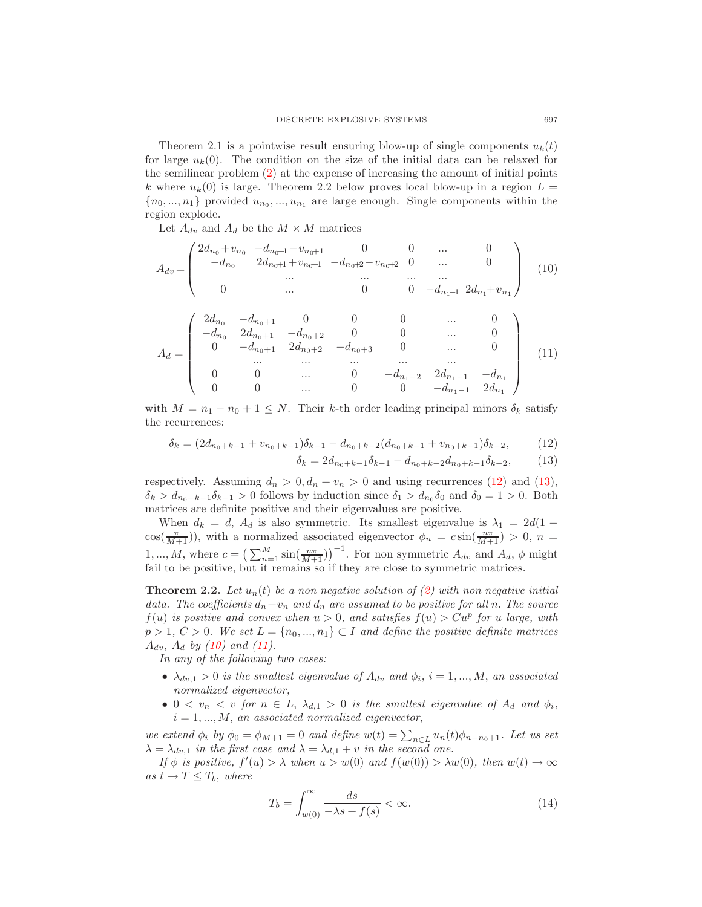Theorem 2.1 is a pointwise result ensuring blow-up of single components  $u_k(t)$ for large  $u_k(0)$ . The condition on the size of the initial data can be relaxed for the semilinear problem [\(2\)](#page-1-0) at the expense of increasing the amount of initial points k where  $u_k(0)$  is large. Theorem 2.2 below proves local blow-up in a region  $L =$  $\{n_0, ..., n_1\}$  provided  $u_{n_0}, ..., u_{n_1}$  are large enough. Single components within the region explode.

Let  $A_{dv}$  and  $A_d$  be the  $M \times M$  matrices

<span id="page-4-1"></span>
$$
A_{dv} = \begin{pmatrix} 2d_{n_0} + v_{n_0} & -d_{n_0+1} - v_{n_0+1} & 0 & 0 & \dots & 0 \\ -d_{n_0} & 2d_{n_0+1} + v_{n_0+1} & -d_{n_0+2} - v_{n_0+2} & 0 & \dots & 0 \\ \dots & \dots & \dots & \dots & \dots \\ 0 & \dots & 0 & 0 & -d_{n_1-1} & 2d_{n_1} + v_{n_1} \end{pmatrix}
$$
 (10)

<span id="page-4-2"></span>
$$
A_{d} = \begin{pmatrix} 2d_{n_{0}} & -d_{n_{0}+1} & 0 & 0 & 0 & \cdots & 0 \\ -d_{n_{0}} & 2d_{n_{0}+1} & -d_{n_{0}+2} & 0 & 0 & \cdots & 0 \\ 0 & -d_{n_{0}+1} & 2d_{n_{0}+2} & -d_{n_{0}+3} & 0 & \cdots & 0 \\ \cdots & \cdots & \cdots & \cdots & \cdots & \cdots \\ 0 & 0 & \cdots & 0 & -d_{n_{1}-2} & 2d_{n_{1}-1} & -d_{n_{1}} \\ 0 & 0 & \cdots & 0 & 0 & -d_{n_{1}-1} & 2d_{n_{1}} \end{pmatrix}
$$
(11)

<span id="page-4-0"></span>with  $M = n_1 - n_0 + 1 \leq N$ . Their k-th order leading principal minors  $\delta_k$  satisfy the recurrences:

$$
\delta_k = (2d_{n_0+k-1} + v_{n_0+k-1})\delta_{k-1} - d_{n_0+k-2}(d_{n_0+k-1} + v_{n_0+k-1})\delta_{k-2},
$$
\n(12)

$$
\delta_k = 2d_{n_0+k-1}\delta_{k-1} - d_{n_0+k-2}d_{n_0+k-1}\delta_{k-2},\tag{13}
$$

respectively. Assuming  $d_n > 0, d_n + v_n > 0$  and using recurrences [\(12\)](#page-4-0) and [\(13\)](#page-4-0),  $\delta_k > d_{n_0+k-1}\delta_{k-1} > 0$  follows by induction since  $\delta_1 > d_{n_0}\delta_0$  and  $\delta_0 = 1 > 0$ . Both matrices are definite positive and their eigenvalues are positive.

When  $d_k = d$ ,  $A_d$  is also symmetric. Its smallest eigenvalue is  $\lambda_1 = 2d(1$  $cos(\frac{\pi}{M+1})$ , with a normalized associated eigenvector  $\phi_n = c \sin(\frac{n\pi}{M+1}) > 0$ ,  $n =$ 1, ..., M, where  $c = \left(\sum_{n=1}^{M} \sin(\frac{n\pi}{M+1})\right)^{-1}$ . For non symmetric  $A_{dv}$  and  $A_d$ ,  $\phi$  might fail to be positive, but it remains so if they are close to symmetric matrices.

**Theorem 2.2.** Let  $u_n(t)$  be a non negative solution of [\(2\)](#page-1-0) with non negative initial data. The coefficients  $d_n+v_n$  and  $d_n$  are assumed to be positive for all n. The source  $f(u)$  is positive and convex when  $u > 0$ , and satisfies  $f(u) > Cu^p$  for u large, with  $p > 1, C > 0$ . We set  $L = \{n_0, ..., n_1\} \subset I$  and define the positive definite matrices  $A_{dv}$ ,  $A_{d}$  by [\(10\)](#page-4-1) and [\(11\)](#page-4-2).

In any of the following two cases:

- $\lambda_{dv,1} > 0$  is the smallest eigenvalue of  $A_{dv}$  and  $\phi_i$ ,  $i = 1, ..., M$ , an associated normalized eigenvector,
- $0 < v_n < v$  for  $n \in L$ ,  $\lambda_{d,1} > 0$  is the smallest eigenvalue of  $A_d$  and  $\phi_i$ ,  $i = 1, ..., M$ , an associated normalized eigenvector,

we extend  $\phi_i$  by  $\phi_0 = \phi_{M+1} = 0$  and define  $w(t) = \sum_{n \in L} u_n(t) \phi_{n-n_0+1}$ . Let us set  $\lambda = \lambda_{dv,1}$  in the first case and  $\lambda = \lambda_{d,1} + v$  in the second one.

<span id="page-4-3"></span>If  $\phi$  is positive,  $f'(u) > \lambda$  when  $u > w(0)$  and  $f(w(0)) > \lambda w(0)$ , then  $w(t) \to \infty$ as  $t \to T \leq T_b$ , where

$$
T_b = \int_{w(0)}^{\infty} \frac{ds}{-\lambda s + f(s)} < \infty. \tag{14}
$$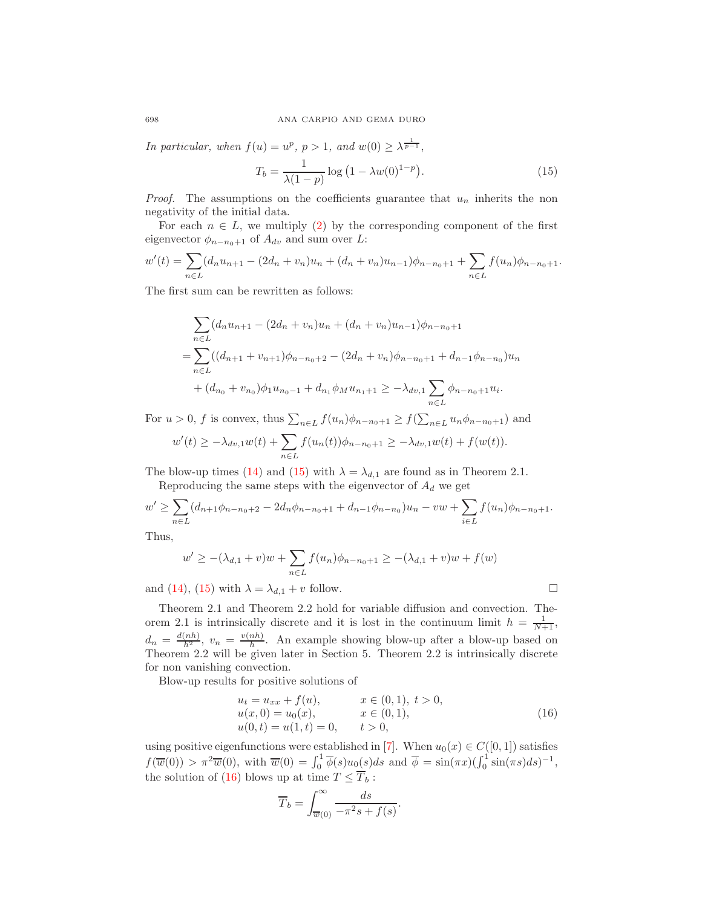<span id="page-5-0"></span>In particular, when  $f(u) = u^p$ ,  $p > 1$ , and  $w(0) \ge \lambda^{\frac{1}{p-1}}$ ,

$$
T_b = \frac{1}{\lambda(1-p)} \log (1 - \lambda w(0)^{1-p}).
$$
\n(15)

*Proof.* The assumptions on the coefficients guarantee that  $u_n$  inherits the non negativity of the initial data.

For each  $n \in L$ , we multiply [\(2\)](#page-1-0) by the corresponding component of the first eigenvector  $\phi_{n-n_0+1}$  of  $A_{dv}$  and sum over L:

$$
w'(t) = \sum_{n \in L} (d_n u_{n+1} - (2d_n + v_n)u_n + (d_n + v_n)u_{n-1})\phi_{n-n_0+1} + \sum_{n \in L} f(u_n)\phi_{n-n_0+1}.
$$

The first sum can be rewritten as follows:

$$
\sum_{n\in L} (d_n u_{n+1} - (2d_n + v_n)u_n + (d_n + v_n)u_{n-1})\phi_{n-n_0+1}
$$
\n
$$
= \sum_{n\in L} ((d_{n+1} + v_{n+1})\phi_{n-n_0+2} - (2d_n + v_n)\phi_{n-n_0+1} + d_{n-1}\phi_{n-n_0})u_n
$$
\n
$$
+ (d_{n_0} + v_{n_0})\phi_1 u_{n_0-1} + d_{n_1}\phi_M u_{n_1+1} \ge -\lambda_{dv,1} \sum_{n\in L} \phi_{n-n_0+1} u_i.
$$

For  $u > 0$ , f is convex, thus  $\sum_{n \in L} f(u_n) \phi_{n-n_0+1} \ge f(\sum_{n \in L} u_n \phi_{n-n_0+1})$  and

$$
w'(t) \geq -\lambda_{dv,1}w(t) + \sum_{n \in L} f(u_n(t))\phi_{n-n_0+1} \geq -\lambda_{dv,1}w(t) + f(w(t)).
$$

The blow-up times [\(14\)](#page-4-3) and [\(15\)](#page-5-0) with  $\lambda = \lambda_{d,1}$  are found as in Theorem 2.1. Reproducing the same steps with the eigenvector of  $A_d$  we get

$$
w' \geq \sum_{n \in L} (d_{n+1}\phi_{n-n_0+2} - 2d_n\phi_{n-n_0+1} + d_{n-1}\phi_{n-n_0})u_n - vw + \sum_{i \in L} f(u_n)\phi_{n-n_0+1}.
$$

Thus,

$$
w' \ge -(\lambda_{d,1} + v)w + \sum_{n \in L} f(u_n)\phi_{n-n_0+1} \ge -(\lambda_{d,1} + v)w + f(w)
$$

and [\(14\)](#page-4-3), [\(15\)](#page-5-0) with  $\lambda = \lambda_{d,1} + v$  follow.

Theorem 2.1 and Theorem 2.2 hold for variable diffusion and convection. Theorem 2.1 is intrinsically discrete and it is lost in the continuum limit  $h = \frac{1}{N+1}$ ,  $d_n = \frac{d(nh)}{h^2}, \ v_n = \frac{v(nh)}{h}$  $\frac{nn}{h}$ . An example showing blow-up after a blow-up based on Theorem 2.2 will be given later in Section 5. Theorem 2.2 is intrinsically discrete for non vanishing convection.

<span id="page-5-1"></span>Blow-up results for positive solutions of

$$
u_t = u_{xx} + f(u), \t x \in (0,1), t > 0,u(x,0) = u_0(x), \t x \in (0,1),u(0,t) = u(1,t) = 0, \t t > 0,
$$
\t(16)

using positive eigenfunctions were established in [\[7\]](#page-18-2). When  $u_0(x) \in C([0, 1])$  satisfies  $f(\overline{w}(0)) > \pi^2 \overline{w}(0)$ , with  $\overline{w}(0) = \int_0^1 \overline{\phi}(s) u_0(s) ds$  and  $\overline{\phi} = \sin(\pi x) (\int_0^1 \sin(\pi s) ds)^{-1}$ , the solution of [\(16\)](#page-5-1) blows up at time  $T \le T_b$ :

$$
\overline{T}_b = \int_{\overline{w}(0)}^{\infty} \frac{ds}{-\pi^2 s + f(s)}.
$$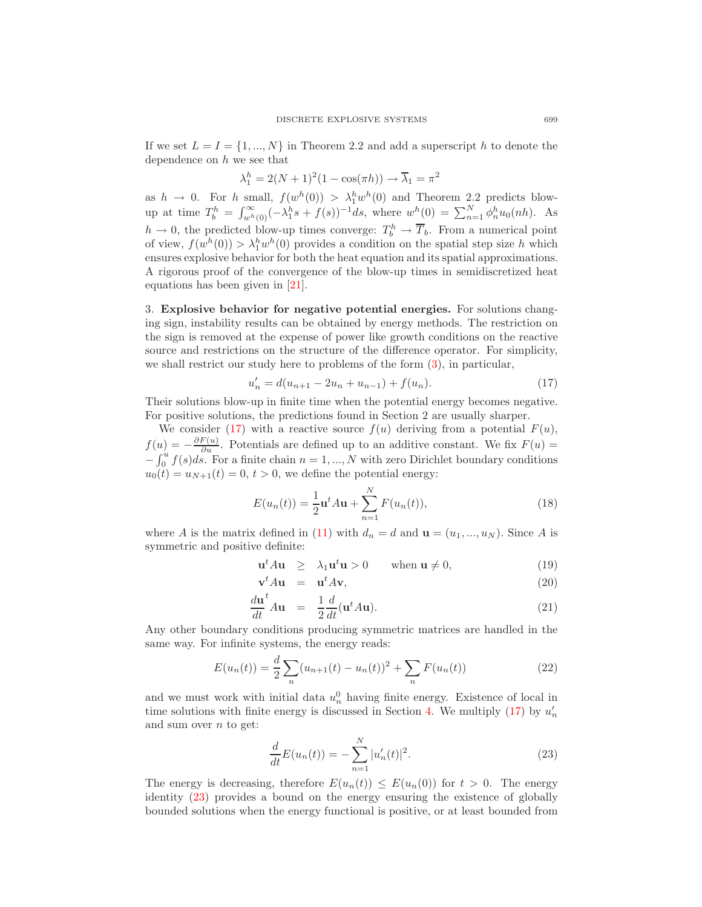If we set  $L = I = \{1, ..., N\}$  in Theorem 2.2 and add a superscript h to denote the dependence on  $h$  we see that

$$
\lambda_1^h = 2(N+1)^2(1 - \cos(\pi h)) \to \overline{\lambda}_1 = \pi^2
$$

as  $h \to 0$ . For h small,  $f(w^h(0)) > \lambda_1^h w^h(0)$  and Theorem 2.2 predicts blowup at time  $T_b^h = \int_{w^h(0)}^{\infty} (-\lambda_1^h s + f(s))^{-1} ds$ , where  $w^h(0) = \sum_{n=1}^N \phi_n^h u_0(nh)$ . As  $h \to 0$ , the predicted blow-up times converge:  $T_b^h \to \overline{T}_b$ . From a numerical point of view,  $f(w^h(0)) > \lambda_1^h w^h(0)$  provides a condition on the spatial step size h which ensures explosive behavior for both the heat equation and its spatial approximations. A rigorous proof of the convergence of the blow-up times in semidiscretized heat equations has been given in [\[21\]](#page-18-16).

3. Explosive behavior for negative potential energies. For solutions changing sign, instability results can be obtained by energy methods. The restriction on the sign is removed at the expense of power like growth conditions on the reactive source and restrictions on the structure of the difference operator. For simplicity, we shall restrict our study here to problems of the form [\(3\)](#page-1-0), in particular,

$$
u'_n = d(u_{n+1} - 2u_n + u_{n-1}) + f(u_n).
$$
 (17)

<span id="page-6-0"></span>Their solutions blow-up in finite time when the potential energy becomes negative. For positive solutions, the predictions found in Section 2 are usually sharper.

We consider [\(17\)](#page-6-0) with a reactive source  $f(u)$  deriving from a potential  $F(u)$ ,  $f(u) = -\frac{\partial F(u)}{\partial u}$ . Potentials are defined up to an additive constant. We fix  $F(u) =$  $-\int_0^u f(s)ds$ . For a finite chain  $n = 1, ..., N$  with zero Dirichlet boundary conditions  $u_0(t) = u_{N+1}(t) = 0, t > 0$ , we define the potential energy:

$$
E(u_n(t)) = \frac{1}{2} \mathbf{u}^t A \mathbf{u} + \sum_{n=1}^{N} F(u_n(t)),
$$
\n(18)

<span id="page-6-3"></span><span id="page-6-2"></span>where A is the matrix defined in [\(11\)](#page-4-2) with  $d_n = d$  and  $\mathbf{u} = (u_1, ..., u_N)$ . Since A is symmetric and positive definite:

$$
\mathbf{u}^t A \mathbf{u} \ge \lambda_1 \mathbf{u}^t \mathbf{u} > 0 \qquad \text{when } \mathbf{u} \neq 0,
$$
 (19)

$$
\mathbf{v}^t A \mathbf{u} = \mathbf{u}^t A \mathbf{v},\tag{20}
$$

$$
\frac{d\mathbf{u}^t}{dt} A \mathbf{u} = \frac{1}{2} \frac{d}{dt} (\mathbf{u}^t A \mathbf{u}).
$$
\n(21)

Any other boundary conditions producing symmetric matrices are handled in the same way. For infinite systems, the energy reads:

$$
E(u_n(t)) = \frac{d}{2} \sum_n (u_{n+1}(t) - u_n(t))^2 + \sum_n F(u_n(t))
$$
\n(22)

<span id="page-6-4"></span>and we must work with initial data  $u_n^0$  having finite energy. Existence of local in time solutions with finite energy is discussed in Section [4.](#page-10-0) We multiply  $(17)$  by  $u'_n$ and sum over  $n$  to get:

$$
\frac{d}{dt}E(u_n(t)) = -\sum_{n=1}^{N} |u'_n(t)|^2.
$$
\n(23)

<span id="page-6-1"></span>The energy is decreasing, therefore  $E(u_n(t)) \leq E(u_n(0))$  for  $t > 0$ . The energy identity [\(23\)](#page-6-1) provides a bound on the energy ensuring the existence of globally bounded solutions when the energy functional is positive, or at least bounded from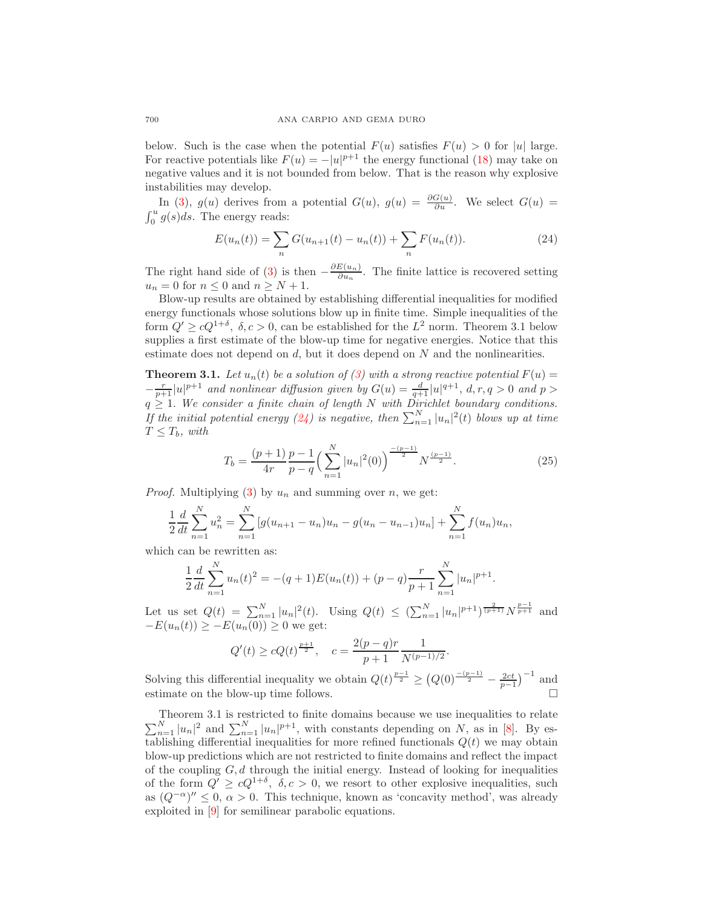below. Such is the case when the potential  $F(u)$  satisfies  $F(u) > 0$  for |u| large. For reactive potentials like  $F(u) = -|u|^{p+1}$  the energy functional [\(18\)](#page-6-2) may take on negative values and it is not bounded from below. That is the reason why explosive instabilities may develop.

In [\(3\)](#page-1-0),  $g(u)$  derives from a potential  $G(u)$ ,  $g(u) = \frac{\partial G(u)}{\partial u}$ . We select  $G(u)$  $\int_0^u g(s)ds$ . The energy reads:

$$
E(u_n(t)) = \sum_n G(u_{n+1}(t) - u_n(t)) + \sum_n F(u_n(t)).
$$
\n(24)

<span id="page-7-0"></span>The right hand side of [\(3\)](#page-1-0) is then  $-\frac{\partial E(u_n)}{\partial u_n}$  $\frac{E(u_n)}{\partial u_n}$ . The finite lattice is recovered setting  $u_n = 0$  for  $n \leq 0$  and  $n \geq N + 1$ .

Blow-up results are obtained by establishing differential inequalities for modified energy functionals whose solutions blow up in finite time. Simple inequalities of the form  $Q' \ge cQ^{1+\delta}$ ,  $\delta, c > 0$ , can be established for the  $L^2$  norm. Theorem 3.1 below supplies a first estimate of the blow-up time for negative energies. Notice that this estimate does not depend on  $d$ , but it does depend on  $N$  and the nonlinearities.

**Theorem 3.1.** Let  $u_n(t)$  be a solution of [\(3\)](#page-1-0) with a strong reactive potential  $F(u) =$  $-\frac{r}{p+1}|u|^{p+1}$  and nonlinear diffusion given by  $G(u) = \frac{d}{q+1}|u|^{q+1}$ ,  $d, r, q > 0$  and  $p >$  $q \geq 1$ . We consider a finite chain of length N with Dirichlet boundary conditions. If the initial potential energy [\(24\)](#page-7-0) is negative, then  $\sum_{n=1}^{N} |u_n|^2(t)$  blows up at time  $T \leq T_b$ , with

$$
T_b = \frac{(p+1)}{4r} \frac{p-1}{p-q} \left(\sum_{n=1}^N |u_n|^2(0)\right)^{\frac{-(p-1)}{2}} N^{\frac{(p-1)}{2}}.
$$
 (25)

*Proof.* Multiplying [\(3\)](#page-1-0) by  $u_n$  and summing over n, we get:

$$
\frac{1}{2}\frac{d}{dt}\sum_{n=1}^{N}u_n^2 = \sum_{n=1}^{N} \left[g(u_{n+1}-u_n)u_n - g(u_n-u_{n-1})u_n\right] + \sum_{n=1}^{N} f(u_n)u_n,
$$

which can be rewritten as:

$$
\frac{1}{2}\frac{d}{dt}\sum_{n=1}^{N}u_n(t)^2 = -(q+1)E(u_n(t)) + (p-q)\frac{r}{p+1}\sum_{n=1}^{N}|u_n|^{p+1}.
$$

Let us set  $Q(t) = \sum_{n=1}^{N} |u_n|^2(t)$ . Using  $Q(t) \leq (\sum_{n=1}^{N} |u_n|^{p+1})^{\frac{2}{(p+1)}} N^{\frac{p-1}{p+1}}$  and  $-E(u_n(t)) \ge -E(u_n(0)) \ge 0$  we get:

$$
Q'(t) \ge cQ(t)^{\frac{p+1}{2}}, \quad c = \frac{2(p-q)r}{p+1} \frac{1}{N^{(p-1)/2}}.
$$

Solving this differential inequality we obtain  $Q(t)^{\frac{p-1}{2}} \geq (Q(0)^{\frac{-(p-1)}{2}} - \frac{2ct}{p-1})^{-1}$  and estimate on the blow-up time follows.

Theorem 3.1 is restricted to finite domains because we use inequalities to relate  $\sum_{n=1}^{N} |u_n|^2$  and  $\sum_{n=1}^{N} |u_n|^{p+1}$ , with constants depending on N, as in [\[8\]](#page-18-3). By establishing differential inequalities for more refined functionals  $Q(t)$  we may obtain blow-up predictions which are not restricted to finite domains and reflect the impact of the coupling  $G, d$  through the initial energy. Instead of looking for inequalities of the form  $Q' \ge cQ^{1+\delta}$ ,  $\delta, c > 0$ , we resort to other explosive inequalities, such as  $(Q^{-\alpha})'' \leq 0$ ,  $\alpha > 0$ . This technique, known as 'concavity method', was already exploited in [\[9\]](#page-18-4) for semilinear parabolic equations.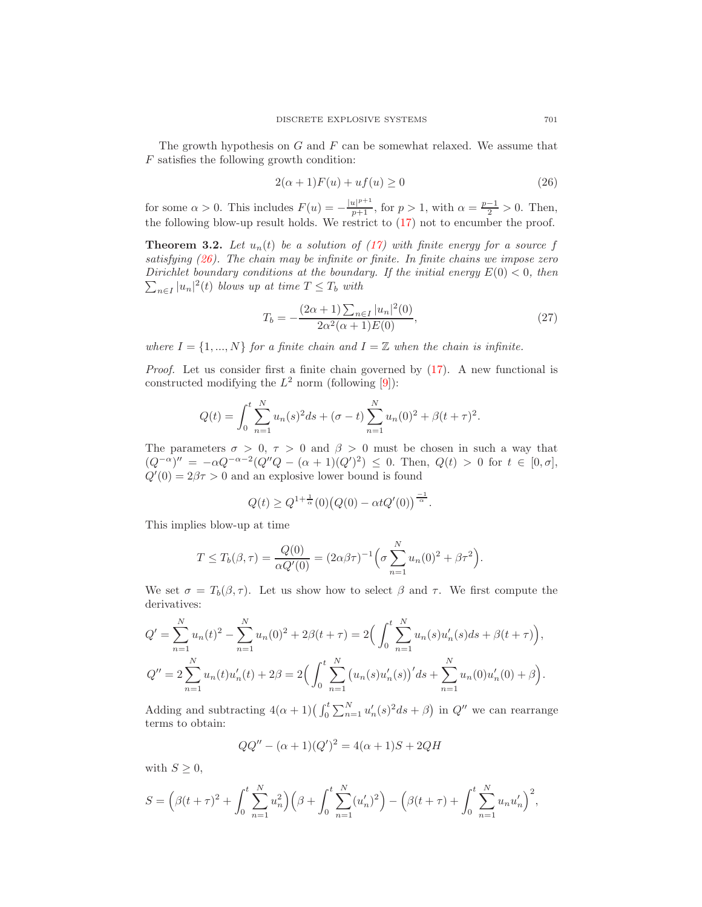The growth hypothesis on  $G$  and  $F$  can be somewhat relaxed. We assume that F satisfies the following growth condition:

$$
2(\alpha + 1)F(u) + uf(u) \ge 0\tag{26}
$$

<span id="page-8-0"></span>for some  $\alpha > 0$ . This includes  $F(u) = -\frac{|u|^{p+1}}{p+1}$ , for  $p > 1$ , with  $\alpha = \frac{p-1}{2} > 0$ . Then, the following blow-up result holds. We restrict to [\(17\)](#page-6-0) not to encumber the proof.

**Theorem 3.2.** Let  $u_n(t)$  be a solution of [\(17\)](#page-6-0) with finite energy for a source f satisfying  $(26)$ . The chain may be infinite or finite. In finite chains we impose zero Dirichlet boundary conditions at the boundary. If the initial energy  $E(0) < 0$ , then  $\sum_{n\in I} |u_n|^2(t)$  blows up at time  $T \leq T_b$  with

$$
T_b = -\frac{(2\alpha + 1)\sum_{n \in I} |u_n|^2(0)}{2\alpha^2(\alpha + 1)E(0)},
$$
\n(27)

where  $I = \{1, ..., N\}$  for a finite chain and  $I = \mathbb{Z}$  when the chain is infinite.

Proof. Let us consider first a finite chain governed by [\(17\)](#page-6-0). A new functional is constructed modifying the  $L^2$  norm (following [\[9\]](#page-18-4)):

$$
Q(t) = \int_0^t \sum_{n=1}^N u_n(s)^2 ds + (\sigma - t) \sum_{n=1}^N u_n(0)^2 + \beta (t + \tau)^2.
$$

The parameters  $\sigma > 0$ ,  $\tau > 0$  and  $\beta > 0$  must be chosen in such a way that  $(Q^{-\alpha})'' = -\alpha Q^{-\alpha-2}(Q''Q - (\alpha+1)(Q')^2) \leq 0.$  Then,  $Q(t) > 0$  for  $t \in [0, \sigma],$  $Q'(0) = 2\beta\tau > 0$  and an explosive lower bound is found

$$
Q(t) \ge Q^{1+\frac{1}{\alpha}}(0) (Q(0) - \alpha t Q'(0))^{\frac{-1}{\alpha}}.
$$

This implies blow-up at time

$$
T \le T_b(\beta, \tau) = \frac{Q(0)}{\alpha Q'(0)} = (2\alpha\beta\tau)^{-1} \Big(\sigma \sum_{n=1}^N u_n(0)^2 + \beta\tau^2\Big).
$$

We set  $\sigma = T_b(\beta, \tau)$ . Let us show how to select  $\beta$  and  $\tau$ . We first compute the derivatives:

$$
Q' = \sum_{n=1}^{N} u_n(t)^2 - \sum_{n=1}^{N} u_n(0)^2 + 2\beta(t + \tau) = 2\left(\int_0^t \sum_{n=1}^{N} u_n(s)u'_n(s)ds + \beta(t + \tau)\right),
$$
  
\n
$$
Q'' = 2\sum_{n=1}^{N} u_n(t)u'_n(t) + 2\beta = 2\left(\int_0^t \sum_{n=1}^{N} \left(u_n(s)u'_n(s)\right)'ds + \sum_{n=1}^{N} u_n(0)u'_n(0) + \beta\right).
$$

Adding and subtracting  $4(\alpha+1)(\int_0^t \sum_{n=1}^N u'_n(s)^2 ds + \beta)$  in  $Q''$  we can rearrange terms to obtain:

$$
QQ'' - (\alpha + 1)(Q')^{2} = 4(\alpha + 1)S + 2QH
$$

with  $S \geq 0$ ,

$$
S = \left(\beta(t+\tau)^2 + \int_0^t \sum_{n=1}^N u_n^2\right) \left(\beta + \int_0^t \sum_{n=1}^N (u'_n)^2\right) - \left(\beta(t+\tau) + \int_0^t \sum_{n=1}^N u_n u'_n\right)^2,
$$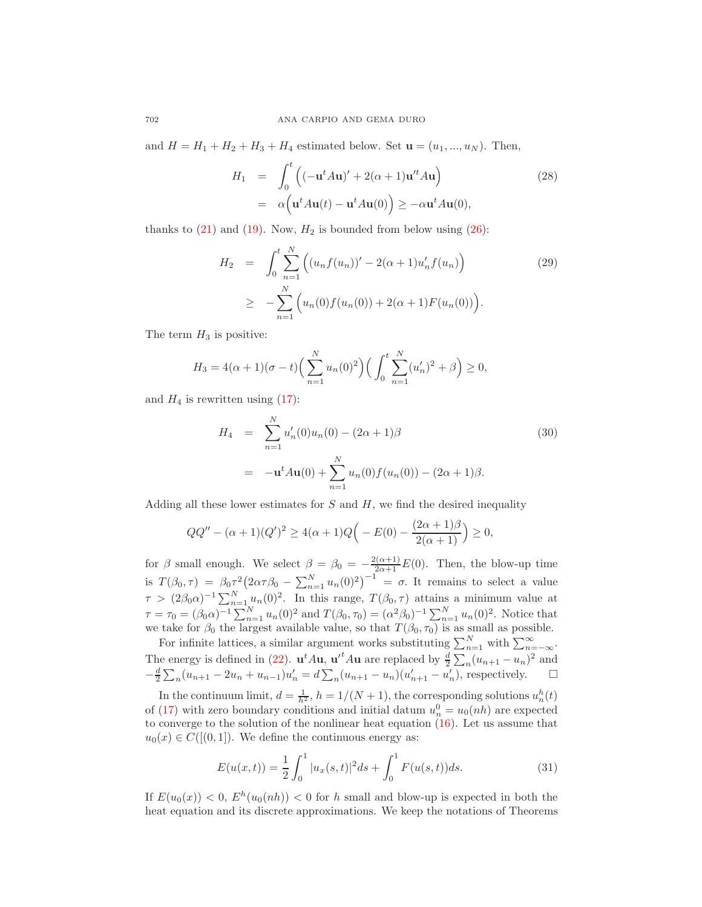and  $H = H_1 + H_2 + H_3 + H_4$  estimated below. Set  $\mathbf{u} = (u_1, ..., u_N)$ . Then,

$$
H_1 = \int_0^t \left( (-\mathbf{u}^t A \mathbf{u})' + 2(\alpha + 1)\mathbf{u}'^t A \mathbf{u} \right)
$$
  
=  $\alpha \left( \mathbf{u}^t A \mathbf{u}(t) - \mathbf{u}^t A \mathbf{u}(0) \right) \ge -\alpha \mathbf{u}^t A \mathbf{u}(0),$  (28)

thanks to  $(21)$  and  $(19)$ . Now,  $H_2$  is bounded from below using  $(26)$ :

$$
H_2 = \int_0^t \sum_{n=1}^N \left( (u_n f(u_n))' - 2(\alpha + 1)u'_n f(u_n) \right)
$$
  
\n
$$
\geq -\sum_{n=1}^N \left( u_n(0) f(u_n(0)) + 2(\alpha + 1) F(u_n(0)) \right).
$$
\n(29)

The term  $H_3$  is positive:

$$
H_3 = 4(\alpha + 1)(\sigma - t) \left(\sum_{n=1}^N u_n(0)^2\right) \left(\int_0^t \sum_{n=1}^N (u'_n)^2 + \beta\right) \ge 0,
$$

and  $H_4$  is rewritten using  $(17)$ :

$$
H_4 = \sum_{n=1}^{N} u'_n(0)u_n(0) - (2\alpha + 1)\beta
$$
  
= 
$$
- \mathbf{u}^t A \mathbf{u}(0) + \sum_{n=1}^{N} u_n(0) f(u_n(0)) - (2\alpha + 1)\beta.
$$
 (30)

Adding all these lower estimates for  $S$  and  $H$ , we find the desired inequality

$$
QQ'' - (\alpha + 1)(Q')^{2} \ge 4(\alpha + 1)Q\left(-E(0) - \frac{(2\alpha + 1)\beta}{2(\alpha + 1)}\right) \ge 0,
$$

for  $\beta$  small enough. We select  $\beta = \beta_0 = -\frac{2(\alpha+1)}{2\alpha+1}E(0)$ . Then, the blow-up time is  $T(\beta_0, \tau) = \beta_0 \tau^2 (2\alpha \tau \beta_0 - \sum_{n=1}^N u_n(0)^2)^{-1} = \sigma$ . It remains to select a value  $\tau > (2\beta_0\alpha)^{-1} \sum_{n=1}^N u_n(0)^2$ . In this range,  $T(\beta_0, \tau)$  attains a minimum value at  $\tau = \tau_0 = (\beta_0 \alpha)^{-1} \sum_{n=1}^{N} u_n(0)^2$  and  $T(\beta_0, \tau_0) = (\alpha^2 \beta_0)^{-1} \sum_{n=1}^{N} u_n(0)^2$ . Notice that we take for  $\beta_0$  the largest available value, so that  $T(\beta_0, \tau_0)$  is as small as possible.

For infinite lattices, a similar argument works substituting  $\sum_{n=1}^{N}$  with  $\sum_{n=-\infty}^{\infty}$ . The energy is defined in [\(22\)](#page-6-4).  $\mathbf{u}^t A \mathbf{u}$ ,  ${\mathbf u}^t A \mathbf{u}$  are replaced by  $\frac{d}{2} \sum_n (u_{n+1} - u_n)^2$  and  $-\frac{d}{2}\sum_{n}(u_{n+1}-2u_n+u_{n-1})u'_n = d\sum_{n}(u_{n+1}-u_n)(u'_{n+1}-u'_n)$ , respectively.  $\square$ 

In the continuum limit,  $d = \frac{1}{h^2}$ ,  $h = 1/(N + 1)$ , the corresponding solutions  $u_n^h(t)$ of [\(17\)](#page-6-0) with zero boundary conditions and initial datum  $u_n^0 = u_0(nh)$  are expected to converge to the solution of the nonlinear heat equation  $(16)$ . Let us assume that  $u_0(x) \in C([0,1])$ . We define the continuous energy as:

$$
E(u(x,t)) = \frac{1}{2} \int_0^1 |u_x(s,t)|^2 ds + \int_0^1 F(u(s,t)) ds.
$$
 (31)

If  $E(u_0(x)) < 0$ ,  $E^h(u_0(nh)) < 0$  for h small and blow-up is expected in both the heat equation and its discrete approximations. We keep the notations of Theorems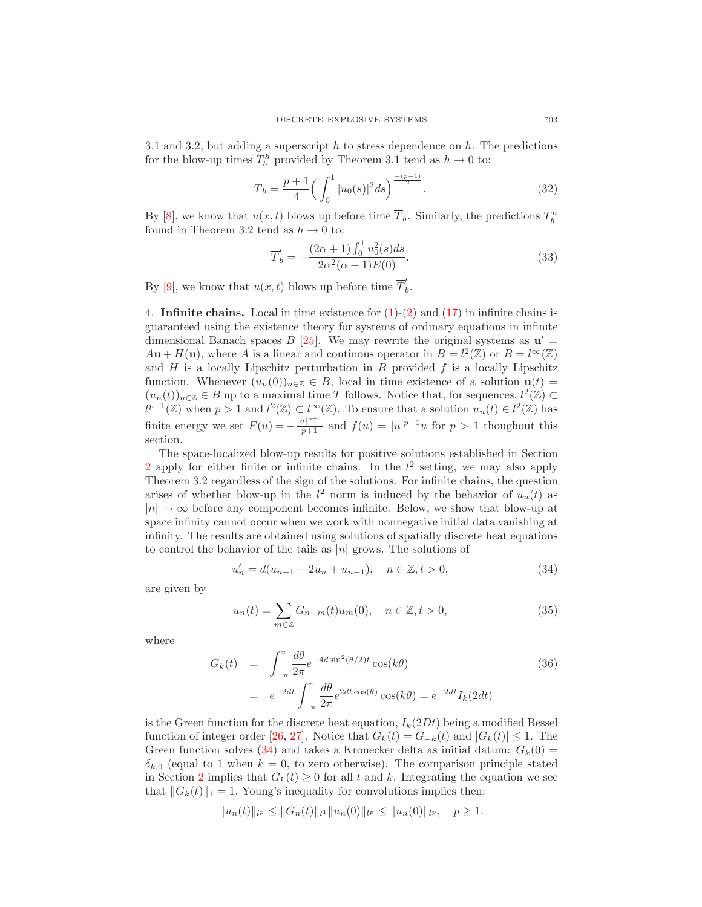3.1 and 3.2, but adding a superscript  $h$  to stress dependence on  $h$ . The predictions for the blow-up times  $T_b^h$  provided by Theorem 3.1 tend as  $h \to 0$  to:

$$
\overline{T}_b = \frac{p+1}{4} \left( \int_0^1 |u_0(s)|^2 ds \right)^{\frac{-(p-1)}{2}}.
$$
\n(32)

By [\[8\]](#page-18-3), we know that  $u(x, t)$  blows up before time  $\overline{T}_b$ . Similarly, the predictions  $T_b^h$ found in Theorem 3.2 tend as  $h \to 0$  to:

$$
\overline{T}'_b = -\frac{(2\alpha+1)\int_0^1 u_0^2(s)ds}{2\alpha^2(\alpha+1)E(0)}.
$$
\n(33)

By [\[9\]](#page-18-4), we know that  $u(x,t)$  blows up before time  $\overline{T}'_t$  $\stackrel{\prime}{b}$ .

<span id="page-10-0"></span>4. **Infinite chains.** Local in time existence for  $(1)-(2)$  $(1)-(2)$  and  $(17)$  in infinite chains is guaranteed using the existence theory for systems of ordinary equations in infinite dimensional Banach spaces  $B$  [\[25\]](#page-18-20). We may rewrite the original systems as  $u' =$  $A\mathbf{u} + H(\mathbf{u})$ , where A is a linear and continuous operator in  $B = l^2(\mathbb{Z})$  or  $B = l^{\infty}(\mathbb{Z})$ and  $H$  is a locally Lipschitz perturbation in  $B$  provided  $f$  is a locally Lipschitz function. Whenever  $(u_n(0))_{n\in\mathbb{Z}}\in B$ , local in time existence of a solution  $\mathbf{u}(t)$  $(u_n(t))_{n\in\mathbb{Z}}\in B$  up to a maximal time T follows. Notice that, for sequences,  $l^2(\mathbb{Z})\subset$  $l^{p+1}(\mathbb{Z})$  when  $p > 1$  and  $l^2(\mathbb{Z}) \subset l^{\infty}(\mathbb{Z})$ . To ensure that a solution  $u_n(t) \in l^2(\mathbb{Z})$  has finite energy we set  $F(u) = -\frac{|u|^{p+1}}{p+1}$  and  $f(u) = |u|^{p-1}u$  for  $p > 1$  thoughout this section.

The space-localized blow-up results for positive solutions established in Section [2](#page-1-1) apply for either finite or infinite chains. In the  $l^2$  setting, we may also apply Theorem 3.2 regardless of the sign of the solutions. For infinite chains, the question arises of whether blow-up in the  $l^2$  norm is induced by the behavior of  $u_n(t)$  as  $|n| \to \infty$  before any component becomes infinite. Below, we show that blow-up at space infinity cannot occur when we work with nonnegative initial data vanishing at infinity. The results are obtained using solutions of spatially discrete heat equations to control the behavior of the tails as |n| grows. The solutions of

$$
u'_{n} = d(u_{n+1} - 2u_{n} + u_{n-1}), \quad n \in \mathbb{Z}, t > 0,
$$
\n(34)

<span id="page-10-2"></span><span id="page-10-1"></span>are given by

$$
u_n(t) = \sum_{m \in \mathbb{Z}} G_{n-m}(t) u_m(0), \quad n \in \mathbb{Z}, t > 0,
$$
\n(35)

<span id="page-10-3"></span>where

$$
G_k(t) = \int_{-\pi}^{\pi} \frac{d\theta}{2\pi} e^{-4d\sin^2(\theta/2)t} \cos(k\theta)
$$
  

$$
= e^{-2dt} \int_{-\pi}^{\pi} \frac{d\theta}{2\pi} e^{2dt \cos(\theta)} \cos(k\theta) = e^{-2dt} I_k(2dt)
$$
(36)

is the Green function for the discrete heat equation,  $I_k(2Dt)$  being a modified Bessel function of integer order [\[26,](#page-18-21) [27\]](#page-18-22). Notice that  $G_k(t) = G_{-k}(t)$  and  $|G_k(t)| \leq 1$ . The Green function solves [\(34\)](#page-10-1) and takes a Kronecker delta as initial datum:  $G_k(0)$  =  $\delta_{k,0}$  (equal to 1 when  $k = 0$ , to zero otherwise). The comparison principle stated in Section [2](#page-1-1) implies that  $G_k(t) \geq 0$  for all t and k. Integrating the equation we see that  $||G_k(t)||_1 = 1$ . Young's inequality for convolutions implies then:

$$
||u_n(t)||_{l^p} \le ||G_n(t)||_{l^1} ||u_n(0)||_{l^p} \le ||u_n(0)||_{l^p}, \quad p \ge 1.
$$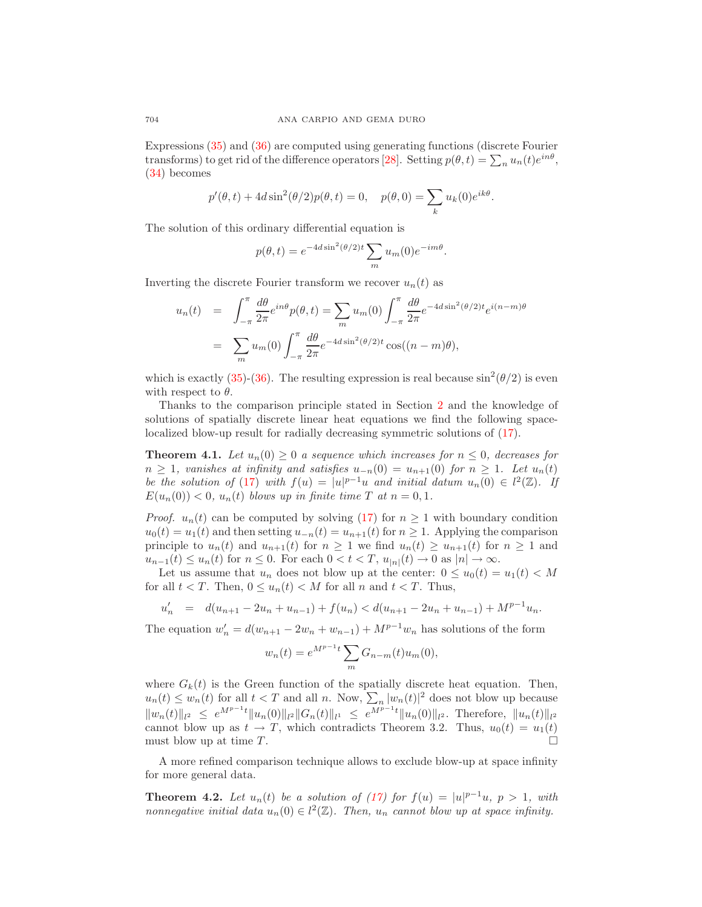Expressions [\(35\)](#page-10-2) and [\(36\)](#page-10-3) are computed using generating functions (discrete Fourier transforms) to get rid of the difference operators [\[28\]](#page-18-23). Setting  $p(\theta, t) = \sum_n u_n(t) e^{in\theta}$ , [\(34\)](#page-10-1) becomes

$$
p'(\theta, t) + 4d\sin^2(\theta/2)p(\theta, t) = 0
$$
,  $p(\theta, 0) = \sum_k u_k(0)e^{ik\theta}$ .

The solution of this ordinary differential equation is

$$
p(\theta, t) = e^{-4d\sin^2(\theta/2)t} \sum_m u_m(0) e^{-im\theta}.
$$

Inverting the discrete Fourier transform we recover  $u_n(t)$  as

$$
u_n(t) = \int_{-\pi}^{\pi} \frac{d\theta}{2\pi} e^{in\theta} p(\theta, t) = \sum_m u_m(0) \int_{-\pi}^{\pi} \frac{d\theta}{2\pi} e^{-4d\sin^2(\theta/2)t} e^{i(n-m)\theta}
$$

$$
= \sum_m u_m(0) \int_{-\pi}^{\pi} \frac{d\theta}{2\pi} e^{-4d\sin^2(\theta/2)t} \cos((n-m)\theta),
$$

which is exactly [\(35\)](#page-10-2)-[\(36\)](#page-10-3). The resulting expression is real because  $\sin^2(\theta/2)$  is even with respect to  $\theta$ .

Thanks to the comparison principle stated in Section [2](#page-1-1) and the knowledge of solutions of spatially discrete linear heat equations we find the following spacelocalized blow-up result for radially decreasing symmetric solutions of [\(17\)](#page-6-0).

**Theorem 4.1.** Let  $u_n(0) \geq 0$  a sequence which increases for  $n \leq 0$ , decreases for  $n \geq 1$ , vanishes at infinity and satisfies  $u_{-n}(0) = u_{n+1}(0)$  for  $n \geq 1$ . Let  $u_n(t)$ be the solution of [\(17\)](#page-6-0) with  $f(u) = |u|^{p-1}u$  and initial datum  $u_n(0) \in l^2(\mathbb{Z})$ . If  $E(u_n(0)) < 0$ ,  $u_n(t)$  blows up in finite time T at  $n = 0, 1$ .

*Proof.*  $u_n(t)$  can be computed by solving [\(17\)](#page-6-0) for  $n \geq 1$  with boundary condition  $u_0(t) = u_1(t)$  and then setting  $u_{-n}(t) = u_{n+1}(t)$  for  $n \ge 1$ . Applying the comparison principle to  $u_n(t)$  and  $u_{n+1}(t)$  for  $n \ge 1$  we find  $u_n(t) \ge u_{n+1}(t)$  for  $n \ge 1$  and  $u_{n-1}(t) \leq u_n(t)$  for  $n \leq 0$ . For each  $0 < t < T$ ,  $u_{|n|}(t) \to 0$  as  $|n| \to \infty$ .

Let us assume that  $u_n$  does not blow up at the center:  $0 \le u_0(t) = u_1(t) < M$ for all  $t < T$ . Then,  $0 \le u_n(t) < M$  for all n and  $t < T$ . Thus,

$$
u'_n = d(u_{n+1} - 2u_n + u_{n-1}) + f(u_n) < d(u_{n+1} - 2u_n + u_{n-1}) + M^{p-1}u_n.
$$

The equation  $w'_n = d(w_{n+1} - 2w_n + w_{n-1}) + M^{p-1}w_n$  has solutions of the form

$$
w_n(t) = e^{M^{p-1}t} \sum_{m} G_{n-m}(t) u_m(0),
$$

where  $G_k(t)$  is the Green function of the spatially discrete heat equation. Then,  $u_n(t) \leq w_n(t)$  for all  $t < T$  and all n. Now,  $\sum_n |w_n(t)|^2$  does not blow up because  $||w_n(t)||_{l^2} \leq e^{M^{p-1}t} ||u_n(0)||_{l^2} ||G_n(t)||_{l^1} \leq e^{M^{p-1}t} ||u_n(0)||_{l^2}$ . Therefore,  $||u_n(t)||_{l^2}$ cannot blow up as  $t \to T$ , which contradicts Theorem 3.2. Thus,  $u_0(t) = u_1(t)$ must blow up at time  $T$ .

A more refined comparison technique allows to exclude blow-up at space infinity for more general data.

**Theorem 4.2.** Let  $u_n(t)$  be a solution of [\(17\)](#page-6-0) for  $f(u) = |u|^{p-1}u$ ,  $p > 1$ , with nonnegative initial data  $u_n(0) \in l^2(\mathbb{Z})$ . Then,  $u_n$  cannot blow up at space infinity.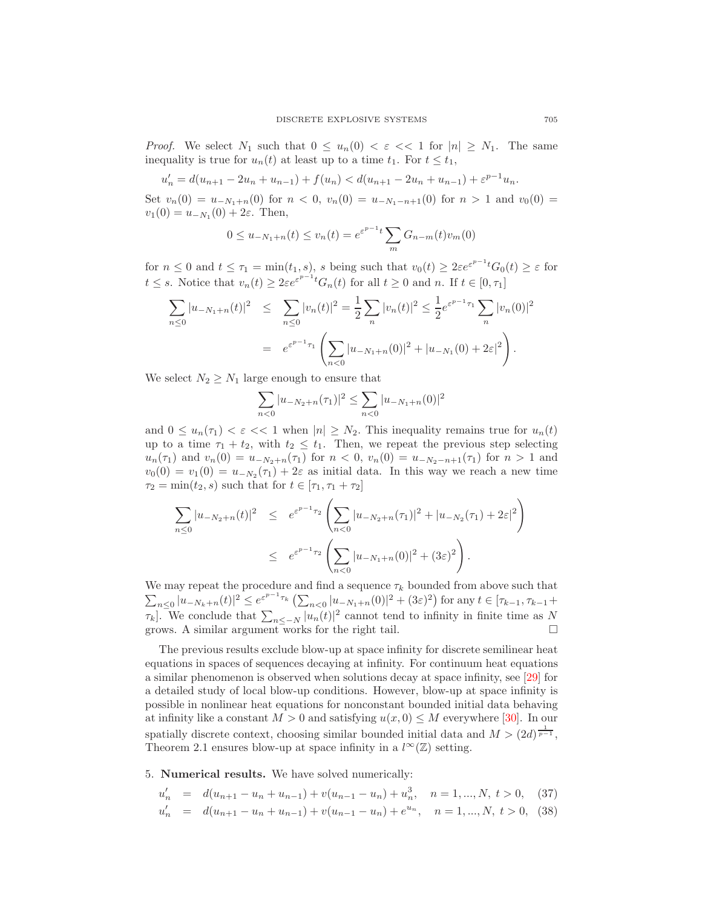*Proof.* We select  $N_1$  such that  $0 \le u_n(0) < \varepsilon \lt \lt 1$  for  $|n| \ge N_1$ . The same inequality is true for  $u_n(t)$  at least up to a time  $t_1$ . For  $t \leq t_1$ ,

$$
u'_n = d(u_{n+1} - 2u_n + u_{n-1}) + f(u_n) < d(u_{n+1} - 2u_n + u_{n-1}) + \varepsilon^{p-1}u_n.
$$

Set  $v_n(0) = u_{-N_1+n}(0)$  for  $n < 0$ ,  $v_n(0) = u_{-N_1-n+1}(0)$  for  $n > 1$  and  $v_0(0) =$  $v_1(0) = u_{-N_1}(0) + 2\varepsilon$ . Then,

$$
0 \le u_{-N_1+n}(t) \le v_n(t) = e^{\varepsilon^{p-1}t} \sum_m G_{n-m}(t)v_m(0)
$$

for  $n \leq 0$  and  $t \leq \tau_1 = \min(t_1, s)$ , s being such that  $v_0(t) \geq 2\varepsilon e^{\varepsilon^{p-1}t} G_0(t) \geq \varepsilon$  for  $t \leq s$ . Notice that  $v_n(t) \geq 2\varepsilon e^{\varepsilon^{p-1}t} G_n(t)$  for all  $t \geq 0$  and n. If  $t \in [0, \tau_1]$ 

$$
\sum_{n\leq 0} |u_{-N_1+n}(t)|^2 \leq \sum_{n\leq 0} |v_n(t)|^2 = \frac{1}{2} \sum_n |v_n(t)|^2 \leq \frac{1}{2} e^{\varepsilon^{p-1}\tau_1} \sum_n |v_n(0)|^2
$$
  
=  $e^{\varepsilon^{p-1}\tau_1} \left( \sum_{n<0} |u_{-N_1+n}(0)|^2 + |u_{-N_1}(0) + 2\varepsilon|^2 \right).$ 

We select  $N_2 \geq N_1$  large enough to ensure that

$$
\sum_{n<0} |u_{-N_2+n}(\tau_1)|^2 \le \sum_{n<0} |u_{-N_1+n}(0)|^2
$$

and  $0 \leq u_n(\tau_1) < \varepsilon \ll 1$  when  $|n| \geq N_2$ . This inequality remains true for  $u_n(t)$ up to a time  $\tau_1 + t_2$ , with  $t_2 \leq t_1$ . Then, we repeat the previous step selecting  $u_n(\tau_1)$  and  $v_n(0) = u_{-N_2+n}(\tau_1)$  for  $n < 0$ ,  $v_n(0) = u_{-N_2-n+1}(\tau_1)$  for  $n > 1$  and  $v_0(0) = v_1(0) = u_{-N_2}(\tau_1) + 2\varepsilon$  as initial data. In this way we reach a new time  $\tau_2 = \min(t_2, s)$  such that for  $t \in [\tau_1, \tau_1 + \tau_2]$ 

$$
\sum_{n\leq 0} |u_{-N_2+n}(t)|^2 \leq e^{\varepsilon^{p-1}\tau_2} \left( \sum_{n<0} |u_{-N_2+n}(\tau_1)|^2 + |u_{-N_2}(\tau_1) + 2\varepsilon|^2 \right)
$$
  

$$
\leq e^{\varepsilon^{p-1}\tau_2} \left( \sum_{n<0} |u_{-N_1+n}(0)|^2 + (3\varepsilon)^2 \right).
$$

We may repeat the procedure and find a sequence  $\tau_k$  bounded from above such that  $\sum_{n\leq 0} |u_{-N_k+n}(t)|^2 \leq e^{\varepsilon^{p-1}\tau_k} \left( \sum_{n<0} |u_{-N_1+n}(0)|^2 + (3\varepsilon)^2 \right)$  for any  $t \in [\tau_{k-1}, \tau_{k-1} +$  $\tau_k$ . We conclude that  $\sum_{n \leq -N} |u_n(t)|^2$  cannot tend to infinity in finite time as N grows. A similar argument works for the right tail.  $\square$ 

The previous results exclude blow-up at space infinity for discrete semilinear heat equations in spaces of sequences decaying at infinity. For continuum heat equations a similar phenomenon is observed when solutions decay at space infinity, see [\[29\]](#page-18-24) for a detailed study of local blow-up conditions. However, blow-up at space infinity is possible in nonlinear heat equations for nonconstant bounded initial data behaving at infinity like a constant  $M > 0$  and satisfying  $u(x, 0) \leq M$  everywhere [\[30\]](#page-18-25). In our spatially discrete context, choosing similar bounded initial data and  $M > (2d)^{\frac{1}{p-1}}$ , Theorem 2.1 ensures blow-up at space infinity in a  $l^{\infty}(\mathbb{Z})$  setting.

<span id="page-12-0"></span>5. Numerical results. We have solved numerically:

$$
u'_n = d(u_{n+1} - u_n + u_{n-1}) + v(u_{n-1} - u_n) + u_n^3, \quad n = 1, ..., N, t > 0, \quad (37)
$$

$$
u'_n = d(u_{n+1} - u_n + u_{n-1}) + v(u_{n-1} - u_n) + e^{u_n}, \quad n = 1, ..., N, t > 0, (38)
$$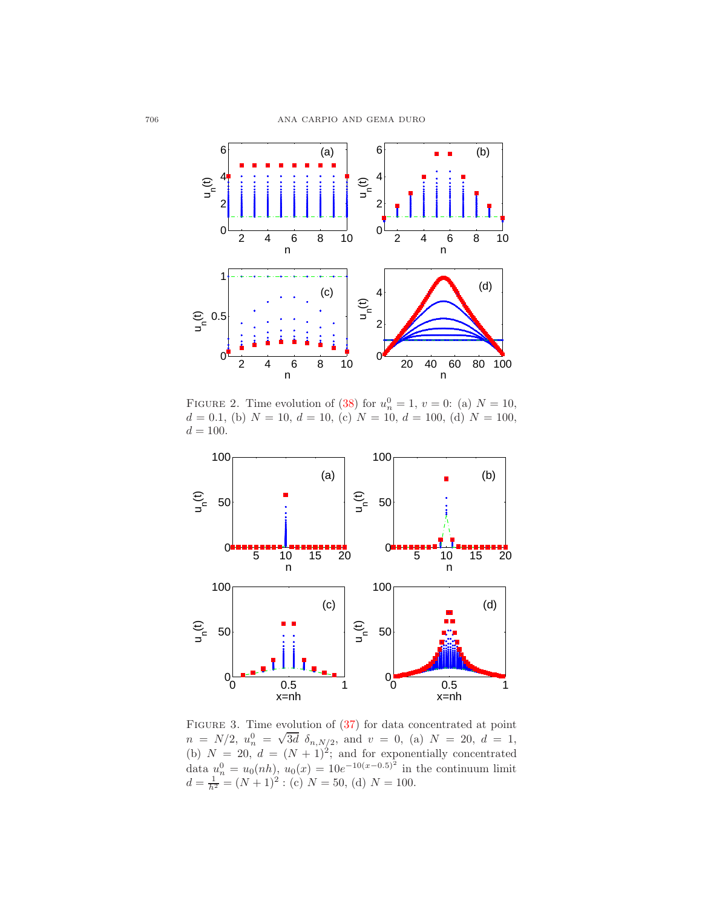

<span id="page-13-0"></span>FIGURE 2. Time evolution of [\(38\)](#page-12-0) for  $u_n^0 = 1, v = 0$ : (a)  $N = 10$ ,  $d = 0.1$ , (b)  $N = 10$ ,  $d = 10$ , (c)  $N = 10$ ,  $d = 100$ , (d)  $N = 100$ ,  $d = 100$ .



<span id="page-13-1"></span>FIGURE 3. Time evolution of  $(37)$  for data concentrated at point  $n = N/2$ ,  $u_n^0 = \sqrt{3d} \delta_{n,N/2}$ , and  $v = 0$ , (a)  $N = 20$ ,  $d = 1$ , (b)  $N = 20, d = (N + 1)^2$ ; and for exponentially concentrated data  $u_n^0 = u_0(nh)$ ,  $u_0(x) = 10e^{-10(x-0.5)^2}$  in the continuum limit  $d = \frac{1}{h^2} = (N+1)^2$ : (c)  $N = 50$ , (d)  $N = 100$ .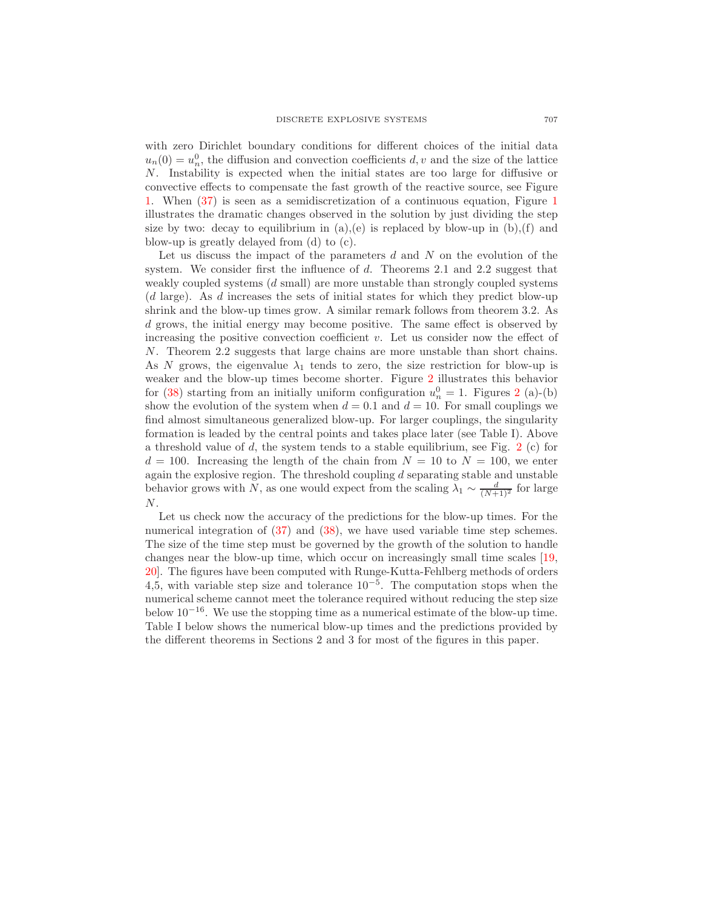with zero Dirichlet boundary conditions for different choices of the initial data  $u_n(0) = u_n^0$ , the diffusion and convection coefficients d, v and the size of the lattice N. Instability is expected when the initial states are too large for diffusive or convective effects to compensate the fast growth of the reactive source, see Figure [1.](#page-2-0) When [\(37\)](#page-12-0) is seen as a semidiscretization of a continuous equation, Figure [1](#page-2-0) illustrates the dramatic changes observed in the solution by just dividing the step size by two: decay to equilibrium in  $(a)$ ,  $(e)$  is replaced by blow-up in  $(b)$ ,  $(f)$  and blow-up is greatly delayed from (d) to (c).

Let us discuss the impact of the parameters  $d$  and  $N$  on the evolution of the system. We consider first the influence of d. Theorems 2.1 and 2.2 suggest that weakly coupled systems (d small) are more unstable than strongly coupled systems (d large). As d increases the sets of initial states for which they predict blow-up shrink and the blow-up times grow. A similar remark follows from theorem 3.2. As d grows, the initial energy may become positive. The same effect is observed by increasing the positive convection coefficient  $v$ . Let us consider now the effect of N. Theorem 2.2 suggests that large chains are more unstable than short chains. As N grows, the eigenvalue  $\lambda_1$  tends to zero, the size restriction for blow-up is weaker and the blow-up times become shorter. Figure [2](#page-13-0) illustrates this behavior for [\(38\)](#page-12-0) starting from an initially uniform configuration  $u_n^0 = 1$ . Figures [2](#page-13-0) (a)-(b) show the evolution of the system when  $d = 0.1$  and  $d = 10$ . For small couplings we find almost simultaneous generalized blow-up. For larger couplings, the singularity formation is leaded by the central points and takes place later (see Table I). Above a threshold value of d, the system tends to a stable equilibrium, see Fig.  $2(c)$  $2(c)$  for  $d = 100$ . Increasing the length of the chain from  $N = 10$  to  $N = 100$ , we enter again the explosive region. The threshold coupling  $d$  separating stable and unstable behavior grows with N, as one would expect from the scaling  $\lambda_1 \sim \frac{d}{(N+1)^2}$  for large  $\cal N.$ 

Let us check now the accuracy of the predictions for the blow-up times. For the numerical integration of [\(37\)](#page-12-0) and [\(38\)](#page-12-0), we have used variable time step schemes. The size of the time step must be governed by the growth of the solution to handle changes near the blow-up time, which occur on increasingly small time scales [\[19,](#page-18-14) [20\]](#page-18-15). The figures have been computed with Runge-Kutta-Fehlberg methods of orders 4,5, with variable step size and tolerance  $10^{-5}$ . The computation stops when the numerical scheme cannot meet the tolerance required without reducing the step size below  $10^{-16}$ . We use the stopping time as a numerical estimate of the blow-up time. Table I below shows the numerical blow-up times and the predictions provided by the different theorems in Sections 2 and 3 for most of the figures in this paper.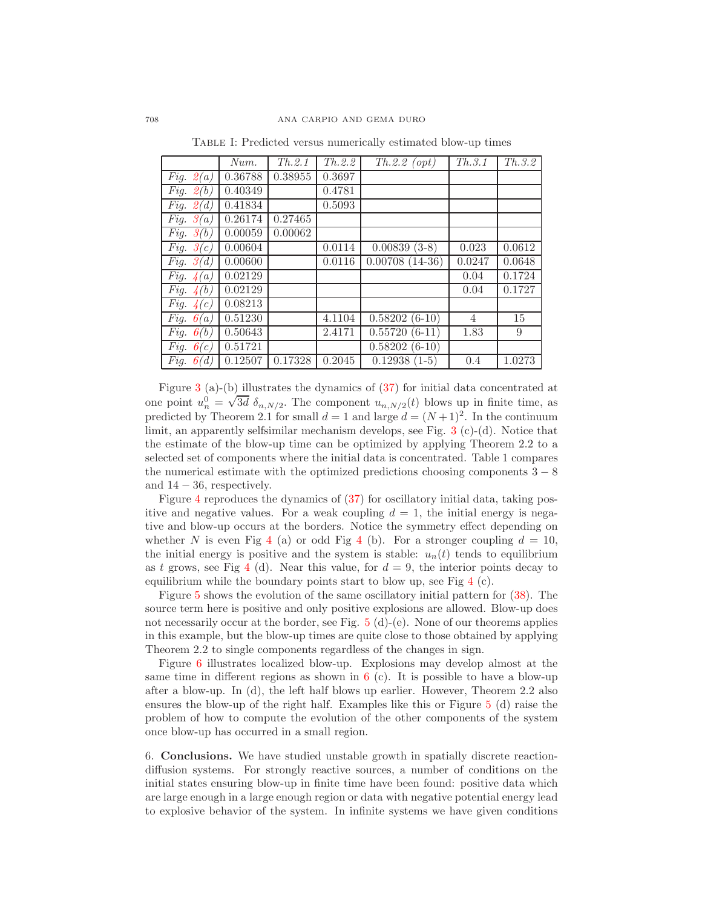|             | Num.    | Th.2.1  | Th.2.2 | $Th.2.2\ (opt)$  | Th.3.1         | Th.3.2 |
|-------------|---------|---------|--------|------------------|----------------|--------|
| Fig. $2(a)$ | 0.36788 | 0.38955 | 0.3697 |                  |                |        |
| Fig. $2(b)$ | 0.40349 |         | 0.4781 |                  |                |        |
| Fig. $2(d)$ | 0.41834 |         | 0.5093 |                  |                |        |
| Fig. $3(a)$ | 0.26174 | 0.27465 |        |                  |                |        |
| Fig. $3(b)$ | 0.00059 | 0.00062 |        |                  |                |        |
| Fig. $3(c)$ | 0.00604 |         | 0.0114 | $0.00839(3-8)$   | 0.023          | 0.0612 |
| Fig. $3(d)$ | 0.00600 |         | 0.0116 | $0.00708(14-36)$ | 0.0247         | 0.0648 |
| Fig. $4(a)$ | 0.02129 |         |        |                  | 0.04           | 0.1724 |
| Fig. $4(b)$ | 0.02129 |         |        |                  | 0.04           | 0.1727 |
| Fig. $4(c)$ | 0.08213 |         |        |                  |                |        |
| Fig. $6(a)$ | 0.51230 |         | 4.1104 | $0.58202(6-10)$  | $\overline{4}$ | 15     |
| Fig. $6(b)$ | 0.50643 |         | 2.4171 | $0.55720(6-11)$  | 1.83           | 9      |
| Fig. $6(c)$ | 0.51721 |         |        | $0.58202(6-10)$  |                |        |
| Fig. $6(d)$ | 0.12507 | 0.17328 | 0.2045 | $0.12938(1-5)$   | 0.4            | 1.0273 |

Table I: Predicted versus numerically estimated blow-up times

Figure [3](#page-13-1) (a)-(b) illustrates the dynamics of [\(37\)](#page-12-0) for initial data concentrated at one point  $u_n^0 = \sqrt{3d} \delta_{n,N/2}$ . The component  $u_{n,N/2}(t)$  blows up in finite time, as predicted by Theorem 2.1 for small  $d = 1$  and large  $d = (N+1)^2$ . In the continuum limit, an apparently selfsimilar mechanism develops, see Fig.  $3$  (c)-(d). Notice that the estimate of the blow-up time can be optimized by applying Theorem 2.2 to a selected set of components where the initial data is concentrated. Table 1 compares the numerical estimate with the optimized predictions choosing components  $3 - 8$ and  $14 - 36$ , respectively.

Figure [4](#page-16-0) reproduces the dynamics of [\(37\)](#page-12-0) for oscillatory initial data, taking positive and negative values. For a weak coupling  $d = 1$ , the initial energy is negative and blow-up occurs at the borders. Notice the symmetry effect depending on whether N is even Fig [4](#page-16-0) (a) or odd Fig 4 (b). For a stronger coupling  $d = 10$ , the initial energy is positive and the system is stable:  $u_n(t)$  tends to equilibrium as t grows, see Fig [4](#page-16-0) (d). Near this value, for  $d = 9$ , the interior points decay to equilibrium while the boundary points start to blow up, see Fig [4](#page-16-0) (c).

Figure [5](#page-16-1) shows the evolution of the same oscillatory initial pattern for [\(38\)](#page-12-0). The source term here is positive and only positive explosions are allowed. Blow-up does not necessarily occur at the border, see Fig.  $5(d)$  $5(d)$ -(e). None of our theorems applies in this example, but the blow-up times are quite close to those obtained by applying Theorem 2.2 to single components regardless of the changes in sign.

Figure [6](#page-17-4) illustrates localized blow-up. Explosions may develop almost at the same time in different regions as shown in  $6$  (c). It is possible to have a blow-up after a blow-up. In (d), the left half blows up earlier. However, Theorem 2.2 also ensures the blow-up of the right half. Examples like this or Figure [5](#page-16-1) (d) raise the problem of how to compute the evolution of the other components of the system once blow-up has occurred in a small region.

6. Conclusions. We have studied unstable growth in spatially discrete reactiondiffusion systems. For strongly reactive sources, a number of conditions on the initial states ensuring blow-up in finite time have been found: positive data which are large enough in a large enough region or data with negative potential energy lead to explosive behavior of the system. In infinite systems we have given conditions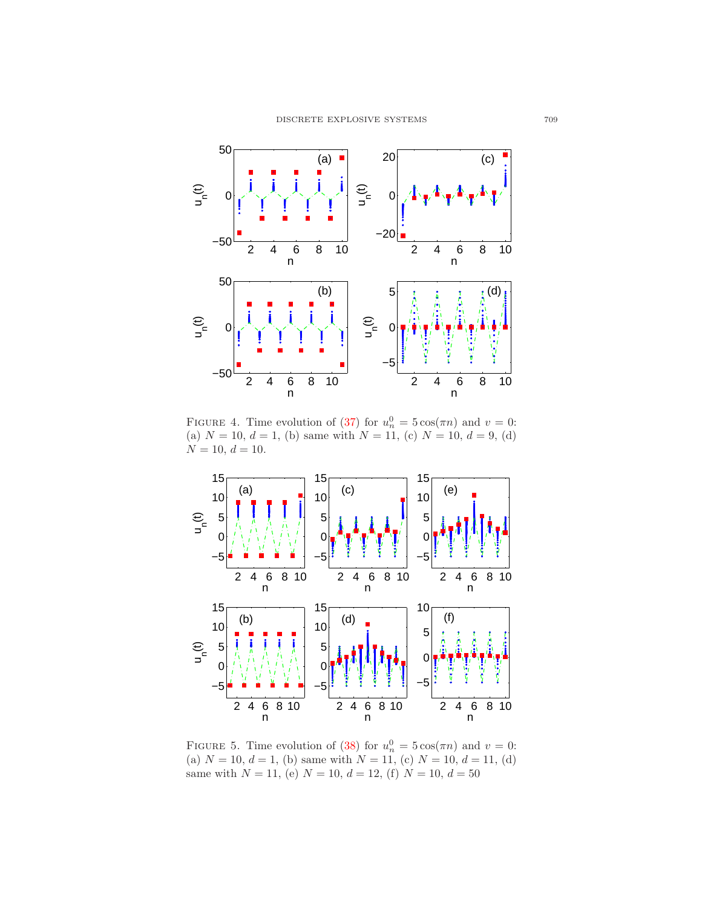

<span id="page-16-0"></span>FIGURE 4. Time evolution of [\(37\)](#page-12-0) for  $u_n^0 = 5 \cos(\pi n)$  and  $v = 0$ : (a)  $N = 10, d = 1$ , (b) same with  $N = 11$ , (c)  $N = 10, d = 9$ , (d)  $N = 10, d = 10.$ 



<span id="page-16-1"></span>FIGURE 5. Time evolution of [\(38\)](#page-12-0) for  $u_n^0 = 5 \cos(\pi n)$  and  $v = 0$ : (a)  $N = 10, d = 1$ , (b) same with  $N = 11$ , (c)  $N = 10, d = 11$ , (d) same with  $N = 11$ , (e)  $N = 10$ ,  $d = 12$ , (f)  $N = 10$ ,  $d = 50$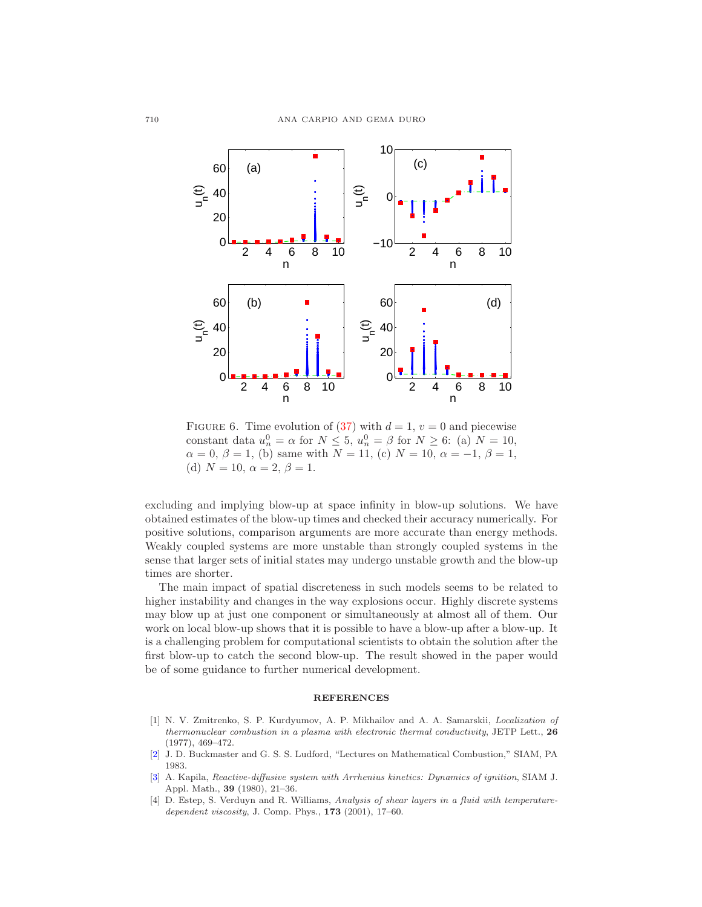

<span id="page-17-4"></span>FIGURE 6. Time evolution of [\(37\)](#page-12-0) with  $d = 1$ ,  $v = 0$  and piecewise constant data  $u_n^0 = \alpha$  for  $N \le 5$ ,  $u_n^0 = \beta$  for  $N \ge 6$ : (a)  $N = 10$ ,  $\alpha = 0, \beta = 1$ , (b) same with  $N = 11$ , (c)  $N = 10, \alpha = -1, \beta = 1$ , (d)  $N = 10, \alpha = 2, \beta = 1.$ 

excluding and implying blow-up at space infinity in blow-up solutions. We have obtained estimates of the blow-up times and checked their accuracy numerically. For positive solutions, comparison arguments are more accurate than energy methods. Weakly coupled systems are more unstable than strongly coupled systems in the sense that larger sets of initial states may undergo unstable growth and the blow-up times are shorter.

The main impact of spatial discreteness in such models seems to be related to higher instability and changes in the way explosions occur. Highly discrete systems may blow up at just one component or simultaneously at almost all of them. Our work on local blow-up shows that it is possible to have a blow-up after a blow-up. It is a challenging problem for computational scientists to obtain the solution after the first blow-up to catch the second blow-up. The result showed in the paper would be of some guidance to further numerical development.

#### **REFERENCES**

- <span id="page-17-0"></span>[1] N. V. Zmitrenko, S. P. Kurdyumov, A. P. Mikhailov and A. A. Samarskii, Localization of thermonuclear combustion in a plasma with electronic thermal conductivity, JETP Lett.,  $26$ (1977), 469–472.
- <span id="page-17-1"></span>[\[2\]](http://www.ams.org/mathscinet-getitem?mr=MR0765073&return=pdf) J. D. Buckmaster and G. S. S. Ludford, "Lectures on Mathematical Combustion," SIAM, PA 1983.
- <span id="page-17-2"></span>[\[3\]](http://www.ams.org/mathscinet-getitem?mr=MR0585826&return=pdf) A. Kapila, Reactive-diffusive system with Arrhenius kinetics: Dynamics of ignition, SIAM J. Appl. Math., 39 (1980), 21–36.
- <span id="page-17-3"></span>[4] D. Estep, S. Verduyn and R. Williams, Analysis of shear layers in a fluid with temperaturedependent viscosity, J. Comp. Phys.,  $173$  (2001), 17-60.